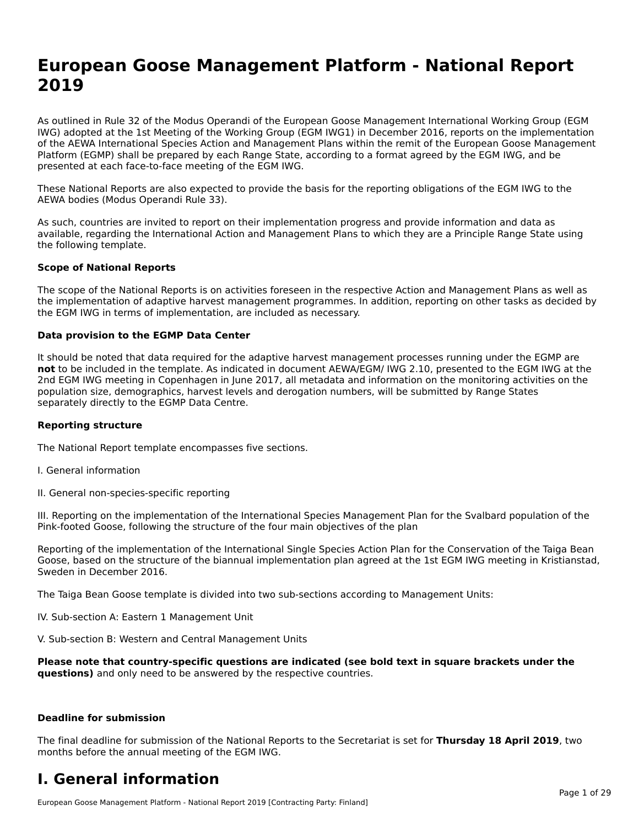# **European Goose Management Platform - National Report**European Goose Management Platform - National **Neport**<br>2010

As outlined in Rule 32 of the Modus Operandi of the European Goose Management International Working Group (EGM As buthled in Rule 32 of the Modus Operandi of the Lufopean Goose Management International Working Group (LGM<br>IWG) adopted at the 1st Meeting of the Working Group (EGM IWG1) in December 2016, reports on the implementation of the AEWA International Species Action and Management Plans within the remit of the European Goose Management Platform (EGMP) shall be prepared by each Range State, according to a format agreed by the EGM IWG, and be presented at each face-to-face meeting of the EGM IWG.

These National Reports are also expected to provide the basis for the reporting obligations of the EGM IWG to the AEWA bodies (Modus Operandi Rule 33).

As such, countries are invited to report on their implementation progress and provide information and data as<br>available, regarding the International Action and Management Plans to which they are a Principle Range State usi available, regarding the International Action and Management Plans to which they are a Principle Range State using the following template.

#### **Scope of National Reports**

The scope of the National Reports is on activities foreseen in the respective Action and Management Plans as well as The scope of the National Reports is on activities foreseen in the respective Action and Management Plans as well as<br>the implementation of adaptive harvest management programmes. In addition, reporting on other tasks as de the EGM IWG in terms of implementation, are included as necessary.

#### **Data provision to the EGMP Data Center**

It should be noted that data required for the adaptive harvest management processes running under the EGMP are **not** to be included in the template. As indicated in document AEWA/EGM/ IWG 2.10, presented to the EGM IWG at the 2nd EGM IWG meeting in Copenhagen in June 2017, all metadata and information on the monitoring activities on the population size, demographics, harvest levels and derogation numbers, will be submitted by Range States separately directly to the EGMP Data Centre.

#### **Reporting structure**

The National Report template encompasses five sections.

- I. General information
- II. General non-species-specific reporting

III. Reporting on the implementation of the International Species Management Plan for the Svalbard population of the

Reporting of the implementation of the International Single Species Action Plan for the Conservation of the Taiga Bean Reporting of the implementation of the international single species Action Fram for the conservation of the laiga beam<br>Goose, based on the structure of the biannual implementation plan agreed at the 1st EGM IWG meeting in

The Taiga Bean Goose template is divided into two sub-sections according to Management Units:

IV. Sub-section A: Eastern 1 Management Unit

V. Sub-section B: Western and Central Management Units

Please note that country-specific questions are indicated (see bold text in square brackets under the **questions)** and only need to be answered by the respective countries.

#### **Deadline for submission**

The final deadline for submission of the National Reports to the Secretariat is set for **Thursday 18 April 2019**, two months before the annual meeting of the EGM IWG.

#### **I. General information**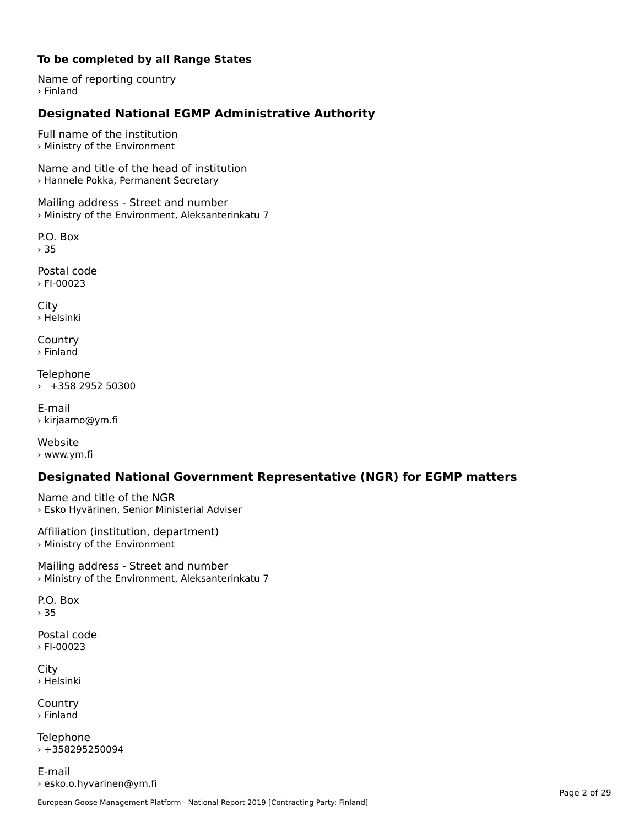#### **To be completed by all Range States**

Name of reporting country › Finland

# **Designated National EGMP Administrative Authority**

Full name of the institution› Ministry of the Environment

Name and title of the head of institution › Hannele Pokka, Permanent Secretary

Mailing address - Street and number › Ministry of the Environment, Aleksanterinkatu 7

P.O. Box › 35

Postal code› FI-00023

City › Helsinki

**Country** › Finland

Telephone › +358 2952 50300

E-mail› kirjaamo@ym.fi

Website › www.ym.fi

### **Designated National Government Representative (NGR) for EGMP matters**

Name and title of the NGR › Esko Hyvärinen, Senior Ministerial Adviser

Affiliation (institution, department) › Ministry of the Environment

Mailing address - Street and number › Ministry of the Environment, Aleksanterinkatu 7

P.O. Box › 35

Postal code› FI-00023

City › Helsinki

**Country** › Finland

Telephone  $+358295250094$ 

E-mail› esko.o.hyvarinen@ym.fi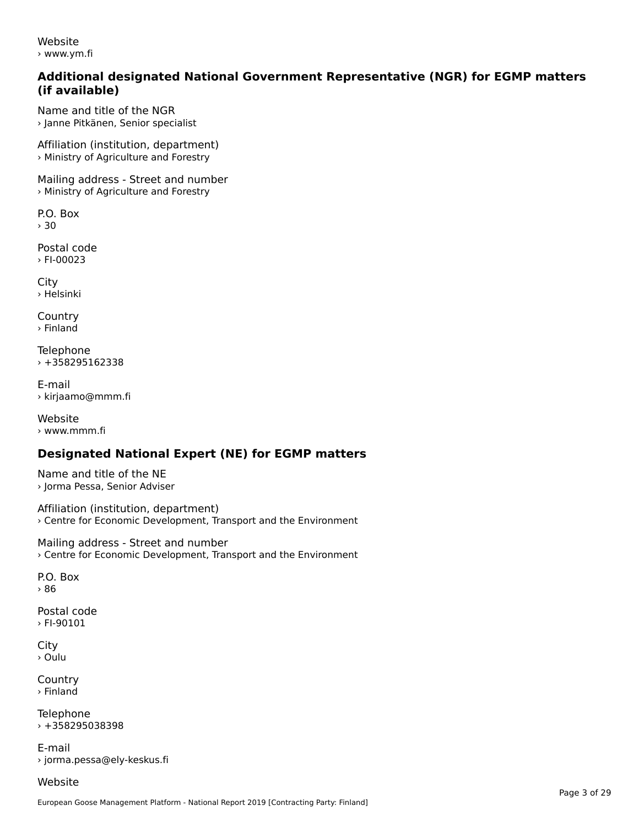Website› www.ym.fi

#### **Additional designated National Government Representative (NGR) for EGMP matters (if available)**

Name and title of the NGR› Janne Pitkänen, Senior specialist

Affiliation (institution, department) › Ministry of Agriculture and Forestry

Mailing address - Street and number › Ministry of Agriculture and Forestry

P.O. Box› 30

Postal code› FI-00023

City › Helsinki

**Country** › Finland

Telephone › +358295162338

E-mail› kirjaamo@mmm.fi

Website › www.mmm.fi

## **Designated National Expert (NE) for EGMP matters**

Name and title of the NE› Jorma Pessa, Senior Adviser

Affiliation (institution, department) › Centre for Economic Development, Transport and the Environment

Mailing address - Street and number › Centre for Economic Development, Transport and the Environment

P.O. Box› 86

Postal code› FI-90101

**City** › Oulu

**Country** › Finland

**Telephone** › +358295038398

E-mail› jorma.pessa@ely-keskus.fi

Website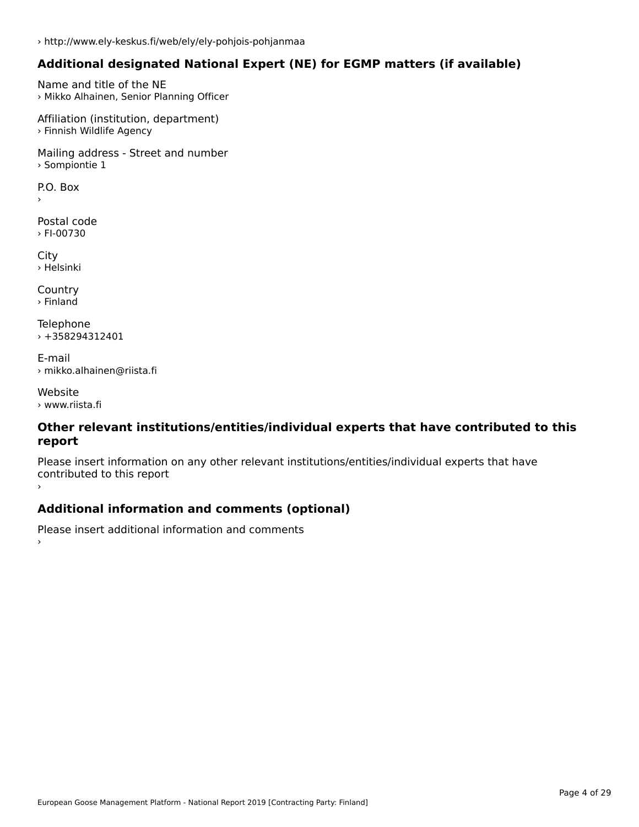### **Additional designated National Expert (NE) for EGMP matters (if available)**

Name and title of the NE › Mikko Alhainen, Senior Planning Officer

Affiliation (institution, department) › Finnish Wildlife Agency

Mailing address - Street and number › Sompiontie 1

 $\overline{P}$ ›

Postal code › FI-00730

City › Helsinki

**Country** › Finland

Telephone › +358294312401

E-mail› mikko.alhainen@riista.fi

Website› www.riista.fi

#### **Other relevant institutions/entities/individual experts that have contributed to this report**report

Please insert information on any other relevant institutions/entities/individual experts that have continuated to this report

### **Additional information and comments (optional)**

Please insert additional information and comments ›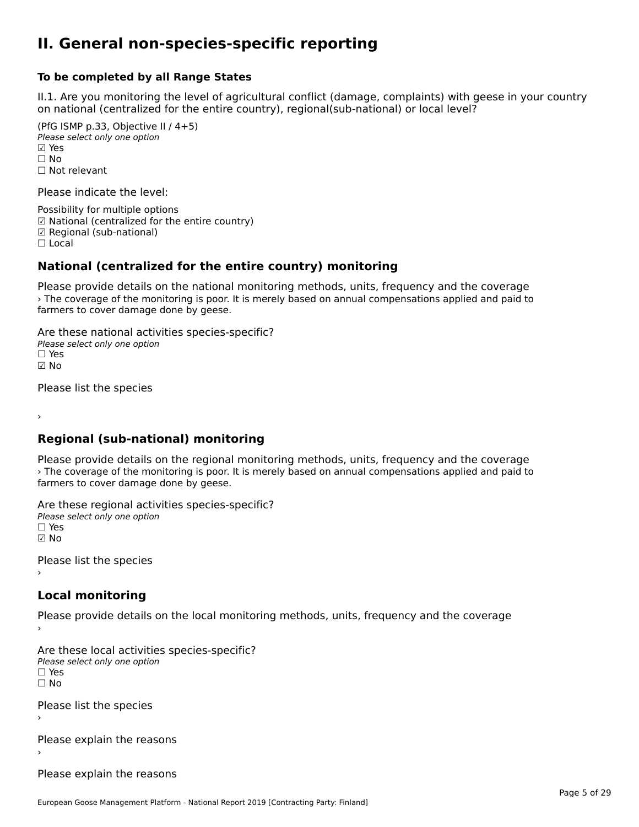#### **II. General non-species-specific reporting**

#### **To be completed by all Range States**

II.1. Are you monitoring the level of agricultural conflict (damage, complaints) with geese in your country n.i. Are you monitoring the lever or agricultural connict (damage, complaints) with g<br>on national (centralized for the entire country), regional(sub-national) or local level?

(PfG ISMP p.33, Objective II  $(4+5)$ ) Please select only one option ☑ Yes**☑ Yes**<br>□ No □ No<br>□ Not relevant

Please indicate the level:

Possibility for multiple options ™ USSIDING TO Multiple options<br>
□ National (centralized for the entire country) ☑ Regional (sub-national) ☐ Local

## **National (centralized for the entire country) monitoring**

Please provide details on the national monitoring methods, units, frequency and the coverage › The coverage of the monitoring is poor. It is merely based on annual compensations applied and paid to *Fire* coverage or the monitoring is poor.<br>farmers to cover damage done by geese.

Are these national activities species-specific? ∩ne enese national activity<br>Please select only one option ☑ No

Please list the species

›

**Regional (sub-national) monitoring**

Please provide details on the regional monitoring methods, units, frequency and the coverage I lease provide details on the regional momenting incendeds, and s, requerity and the coverage<br>> The coverage of the monitoring is poor. It is merely based on annual compensations applied and paid to farmers to cover damage done by geese.

Are these regional activities species-specific? ∩ne enese regional activ<br>Please select only one option ☑ No

Please list the species ›

**Local monitoring**

Please provide details on the local monitoring methods, units, frequency and the coverage

Are these local activities species-specific? ∩ne these local detivities<br>Please select only one option □ Yes<br>□ No

Please list the species ›

Please explain the reasons›

Please explain the reasons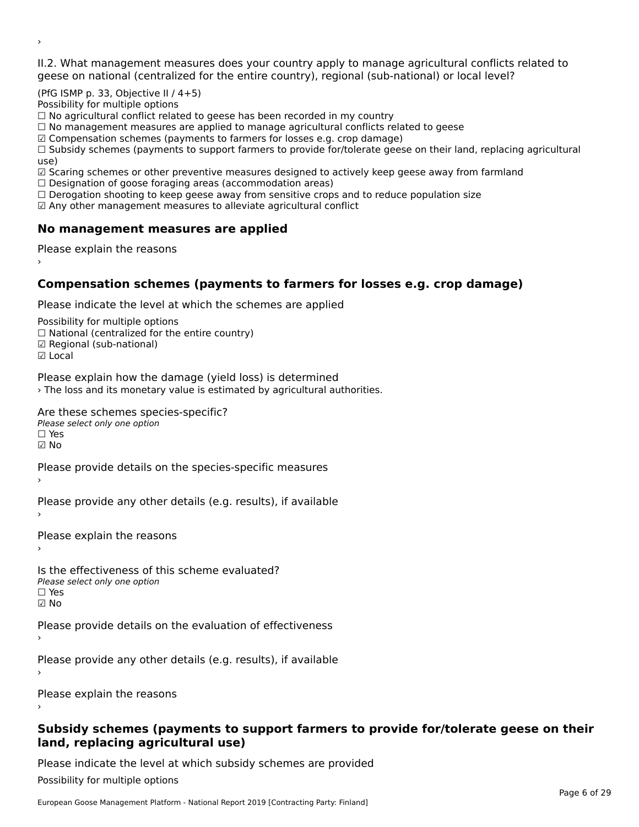II.2. What management measures does your country apply to manage agricultural conflicts related to

(PfG ISMP p. 33, Objective II / 4+5)

Possibility for multiple options

rossibility for multiple options<br>□ No agricultural conflict related to geese has been recorded in my country

 $\Box$  No management measures are applied to manage agricultural conflicts related to geese

☑ Compensation schemes (payments to farmers for losses e.g. crop damage)

© Compensation schemes (payments to familers for losses e.g. crop damage)<br>□ Subsidy schemes (payments to support farmers to provide for/tolerate geese on their land, replacing agricultural use)

use,<br>☑ Scaring schemes or other preventive measures designed to actively keep geese away from farmland

**■** Scaring scrientes of other preventive measures designed to a<br>□ Designation of goose foraging areas (accommodation areas)

□ Designation of goose foraging areas (accommodation areas)<br>□ Derogation shooting to keep geese away from sensitive crops and to reduce population size

 $\boxtimes$  Any other management measures to alleviate agricultural conflict

### **No management measures are applied**

Please explain the reasons ›

### **Compensation schemes (payments to farmers for losses e.g. crop damage)**

Please indicate the level at which the schemes are applied

Possibility for multiple options rossibility for multiple options<br>□ National (centralized for the entire country) □ Regional (centranzed to<br>☑ Regional (sub-national)

☑ Local

›

Please explain how the damage (yield loss) is determined

› The loss and its monetary value is estimated by agricultural authorities.

Are these schemes species-specific?

∩ne these senemes spee<br>Please select only one option ☑ No

Please provide details on the species-specific measures

Please provide any other details (e.g. results), if available

Please explain the reasons›

Is the effectiveness of this scheme evaluated? □ CILCCCCCICIOS OF C<br>Please select only one option  $\Box$  Yes ☑ No

Please provide details on the evaluation of effectiveness

Please provide any other details (e.g. results), if available

Please explain the reasons

#### **Subsidy schemes (payments to support farmers to provide for/tolerate geese on their land, replacing agricultural use)**land, replacing agricultural use)

Please indicate the level at which subsidy schemes are provided

Possibility for multiple options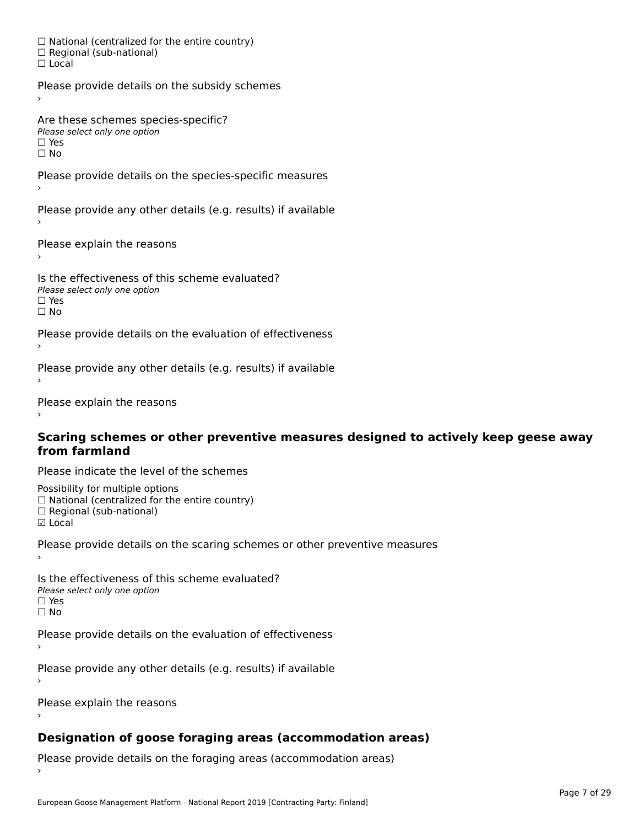☐ National (centralized for the entire country) □ National (centralized io<br>□ Regional (sub-national) ☐ Local

Please provide details on the subsidy schemes

Are these schemes species-specific? ∩ne these senemes spee<br>Please select only one option

□ Yes<br>□ No

Please provide details on the species-specific measures

Please provide any other details (e.g. results) if available

Please explain the reasons

Is the effectiveness of this scheme evaluated?Please select only one option ☐ Yesים וכ<br>⊡ No

Please provide details on the evaluation of effectiveness

Please provide any other details (e.g. results) if available

Please explain the reasons

#### **Scaring schemes or other preventive measures designed to actively keep geese away from farmland**

Please indicate the level of the schemes

Possibility for multiple options rossibility for multiple options<br>□ National (centralized for the entire country) ☐ Regional (sub-national) ☑ Local

**☑** Local

Please provide details on the scaring schemes or other preventive measures

Is the effectiveness of this scheme evaluated?□ CITC CITCCLIVERESS OF C<br>Please select only one option □ Yes<br>□ No

Please provide details on the evaluation of effectiveness

Please provide any other details (e.g. results) if available

Please explain the reasons›

### **Designation of goose foraging areas (accommodation areas)**

Please provide details on the foraging areas (accommodation areas)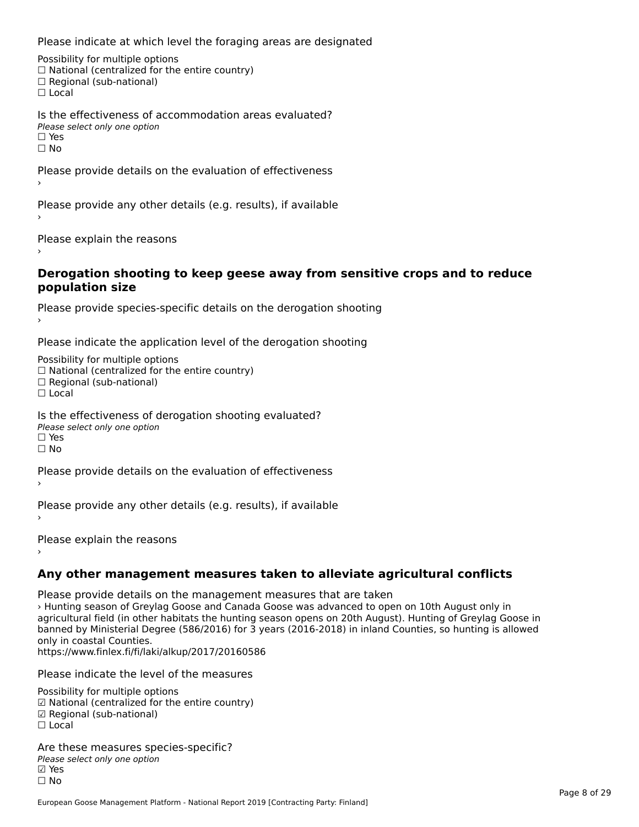Please indicate at which level the foraging areas are designated

Possibility for multiple options rossibility for multiple options<br>□ National (centralized for the entire country) □ Regional (sub-national)<br>□ Regional (sub-national)

Is the effectiveness of accommodation areas evaluated?Please select only one option ☐ Yesים וכ<br>⊡ No

Please provide details on the evaluation of effectiveness

Please provide any other details (e.g. results), if available

Please explain the reasons

#### **Derogation shooting to keep geese away from sensitive crops and to reduce population size**

Please provide species-specific details on the derogation shooting ›

Please indicate the application level of the derogation shooting

Possibility for multiple options rossibility for multiple options<br>□ National (centralized for the entire country) □ National (centralized io<br>□ Regional (sub-national) ☐ Local

Is the effectiveness of derogation shooting evaluated?

Please select only one option

☐ Yesים<br>⊡ No

Please provide details on the evaluation of effectiveness

Please provide any other details (e.g. results), if available

Please explain the reasons

# **Any other management measures taken to alleviate agricultural conflicts**

Please provide details on the management measures that are taken › Hunting season of Greylag Goose and Canada Goose was advanced to open on 10th August only in agricultural field (in other habitats the hunting season opens on 20th August). Hunting of Greylag Goose in agricultural field (in other habitats the numbig season opens on 20th August). Hunting or Greylag Goose in<br>banned by Ministerial Degree (586/2016) for 3 years (2016-2018) in inland Counties, so hunting is allowed only in coastal Counties. https://www.finlex.fi/fi/laki/alkup/2017/20160586

Please indicate the level of the measures

Possibility for multiple options ™assibility for multiple options<br>☑ National (centralized for the entire country) ☑ Regional (sub-national)☐ Local

Are these measures species-specific?∧e chese measures spe<br>Please select only one option ⊠ Yes<br>□ No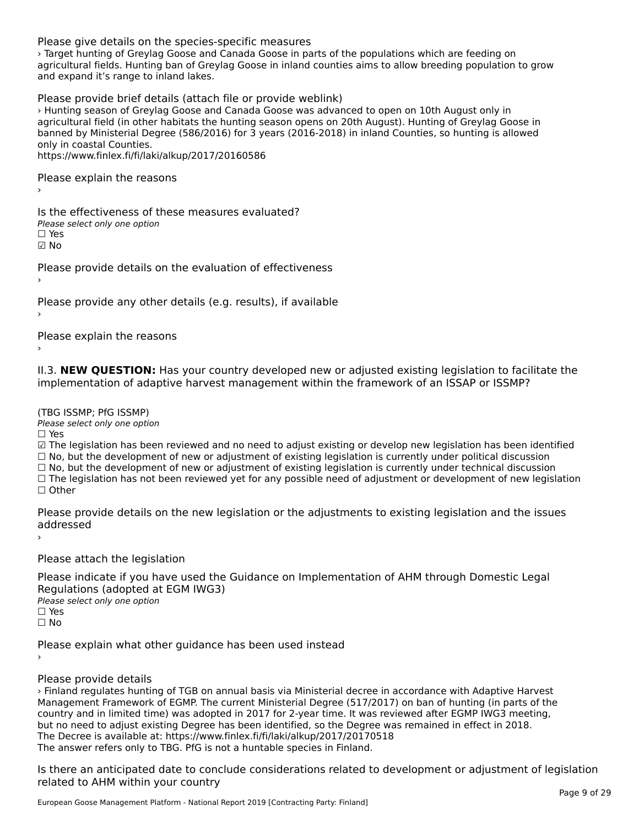#### Please give details on the species-specific measures

› Target hunting of Greylag Goose and Canada Goose in parts of the populations which are feeding on agricultural fields. Hunting ban of Greylag Goose in inland counties aims to allow breeding population to grow agricultural fields. Fiditing barror Gre<br>and expand it's range to inland lakes.

Please provide brief details (attach file or provide weblink)

› Hunting season of Greylag Goose and Canada Goose was advanced to open on 10th August only in agricultural field (in other habitats the hunting season opens on 20th August). Hunting of Greylag Goose in agricultural field (in other habitats the hunting season opens on 20th August). Hunting or Greylag Goose in<br>banned by Ministerial Degree (586/2016) for 3 years (2016-2018) in inland Counties, so hunting is allowed panned by ministerial De<br>only in coastal Counties. https://www.finlex.fi/fi/laki/alkup/2017/20160586

Please explain the reasons

Is the effectiveness of these measures evaluated? □ CITC CITCCLIVERESS OF C<br>Please select only one option ☑ No

Please provide details on the evaluation of effectiveness

Please provide any other details (e.g. results), if available

Please explain the reasons

II.3. **NEW QUESTION:** Has your country developed new or adjusted existing legislation to facilitate the

(TBG ISSMP; PfG ISSMP)

Please select only one option ☐ Yes

☑ The legislation has been reviewed and no need to adjust existing or develop new legislation has been identified ⊠ The regislation has been reviewed and no need to adjust existing or develop new regislation has been ident<br>□ No, but the development of new or adjustment of existing legislation is currently under political discussion

□ No, but the development of new or adjustment of existing legislation is currently under political discussion<br>□ No, but the development of new or adjustment of existing legislation is currently under technical discussion

☐ The legislation has not been reviewed yet for any possible need of adjustment or development of new legislation ☐ Other

Please provide details on the new legislation or the adjustments to existing legislation and the issues ricase piu<br>seddesses d ›

Please attach the legislation

Please indicate if you have used the Guidance on Implementation of AHM through Domestic Legal Piease indicate if you have used the<br>Regulations (adopted at EGM IWG3) Please select only one option ☐ Yes☐ No

Please explain what other guidance has been used instead

#### Please provide details

› Finland regulates hunting of TGB on annual basis via Ministerial decree in accordance with Adaptive Harvest Management Framework of EGMP. The current Ministerial Degree (517/2017) on ban of hunting (in parts of the country and in limited time) was adopted in 2017 for 2-year time. It was reviewed after EGMP IWG3 meeting, but no need to adjust existing Degree has been identified, so the Degree was remained in effect in 2018. The Decree is available at: https://www.finlex.fi/fi/laki/alkup/2017/20170518 The Decree is available at. https://www.innex.h/n/laki/aikup/2017/2017t<br>The answer refers only to TBG. PfG is not a huntable species in Finland.

Is there an anticipated date to conclude considerations related to development or adjustment of legislation related to AHM within your country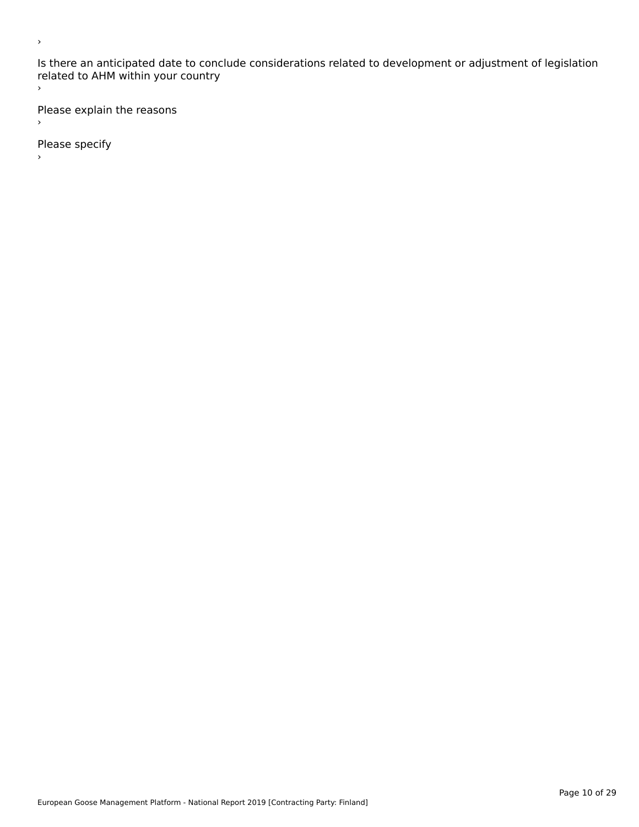Is there an anticipated date to conclude considerations related to development or adjustment of legislation related to Arm within your country  $\bar{\phantom{a}}$ 

Please explain the reasons  $\,$ 

Please specify

›

 $\bar{\phantom{a}}$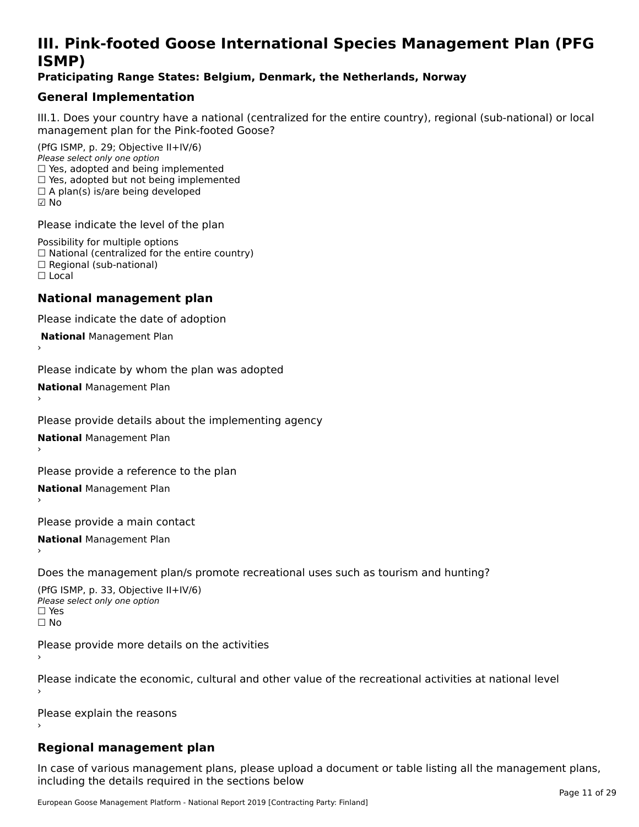# **III. Pink-footed Goose International Species Management Plan (PFG**III. FIIIN-IUULEU GUUSE IIILEI II**atiunai Species Management Fian (FTG**<br>ISMD)

#### **Praticipating Range States: Belgium, Denmark, the Netherlands, Norway**

### **General Implementation**

III.1. Does your country have a national (centralized for the entire country), regional (sub-national) or local

(PfG ISMP, p. 29; Objective II+IV/6) Please select only one option *riease select only one option*<br>□ Yes, adopted and being implemented  $\Box$  res, adopted and being implemented<br> $\Box$  Yes, adopted but not being implemented  $\Box$  A plan(s) is/are being developed ☑ No

Please indicate the level of the plan

Possibility for multiple options rossibility for multiple options<br>□ National (centralized for the entire country) □ National (centralized io<br>□ Regional (sub-national) ☐ Local

#### **National management plan**

Please indicate the date of adoption

 **National** Management Plan

›

Please indicate by whom the plan was adopted

**National** Management Plan ›

Please provide details about the implementing agency

**National** Management Plan ›

Please provide a reference to the plan

**National** Management Plan ›

Please provide a main contact

**National** Management Plan ›

Does the management plan/s promote recreational uses such as tourism and hunting?

(PfG ISMP, p. 33, Objective II+IV/6) Please select only one optionPlease select only one option  $\square$  Yes ☐ No

Please provide more details on the activities

Please indicate the economic, cultural and other value of the recreational activities at national level

Please explain the reasons

#### **Regional management plan**

In case of various management plans, please upload a document or table listing all the management plans,in case or various management plans, please uploa<br>in the direct below the its required in the sections below including the details required in the sections below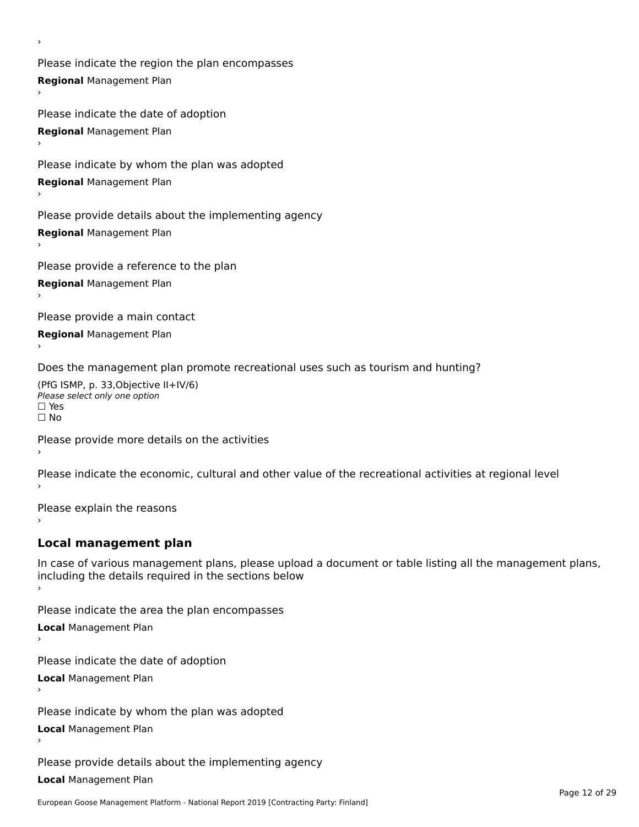Please indicate the region the plan encompasses **Regional** Management Plan

Please indicate the date of adoption **Regional** Management Plan ›

Please indicate by whom the plan was adopted

**Regional** Management Plan

›

Please provide details about the implementing agency

**Regional** Management Plan

Please provide a reference to the plan

**Regional** Management Plan

Please provide a main contact

**Regional** Management Plan

Does the management plan promote recreational uses such as tourism and hunting?

(PfG ISMP, p. 33,Objective II+IV/6) ∩∩ וויוכו פון<br>Please select only one option<br>□ Yes □ Yes<br>□ No

Please provide more details on the activities

Please indicate the economic, cultural and other value of the recreational activities at regional level

Please explain the reasons ›

### **Local management plan**

In case of various management plans, please upload a document or table listing all the management plans, In case of various management plans, please uploa<br>including the details required in the sections below

Please indicate the area the plan encompasses

**Local** Management Plan

Please indicate the date of adoption

**Local** Management Plan›

Please indicate by whom the plan was adopted

**Local** Management Plan

Please provide details about the implementing agency

**Local** Management Plan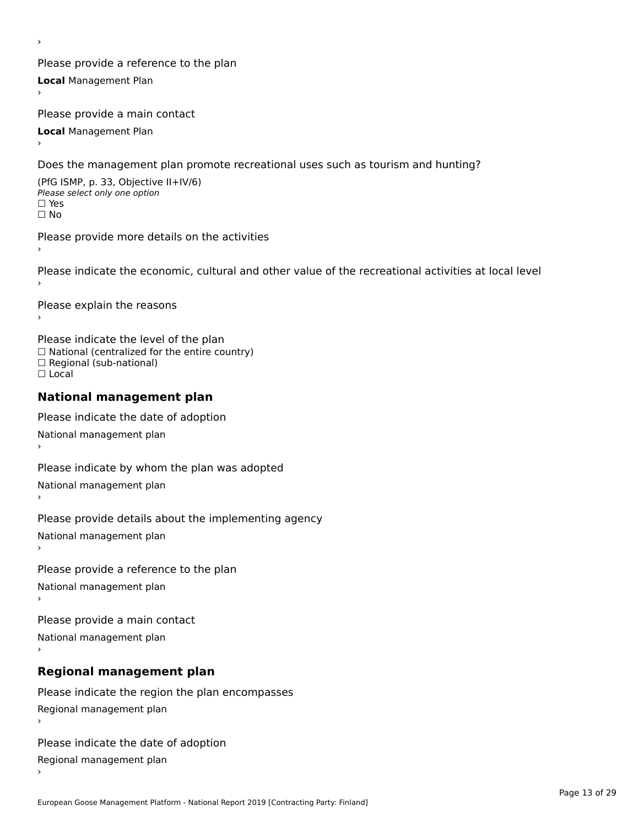Please provide a reference to the plan **Local** Management Plan

Please provide a main contact

**Local** Management Plan

›

Does the management plan promote recreational uses such as tourism and hunting?

(PfG ISMP, p. 33, Objective II+IV/6) Please select only one option☐ Yes☐ No

Please provide more details on the activities

Please indicate the economic, cultural and other value of the recreational activities at local level

Please explain the reasons ›

Please indicate the level of the plan ∩ease marcate the lever of the plan<br>□ National (centralized for the entire country) □ National (centralized io<br>□ Regional (sub-national) ☐ Local

#### **National management plan**

Please indicate the date of adoption National management plan

Please indicate by whom the plan was adopted

National management plan ›

Please provide details about the implementing agency

National management plan

Please provide a reference to the plan

National management plan

Please provide a main contact

National management plan

# **Regional management plan**

Please indicate the region the plan encompasses Regional management plan

Please indicate the date of adoption

Regional management plan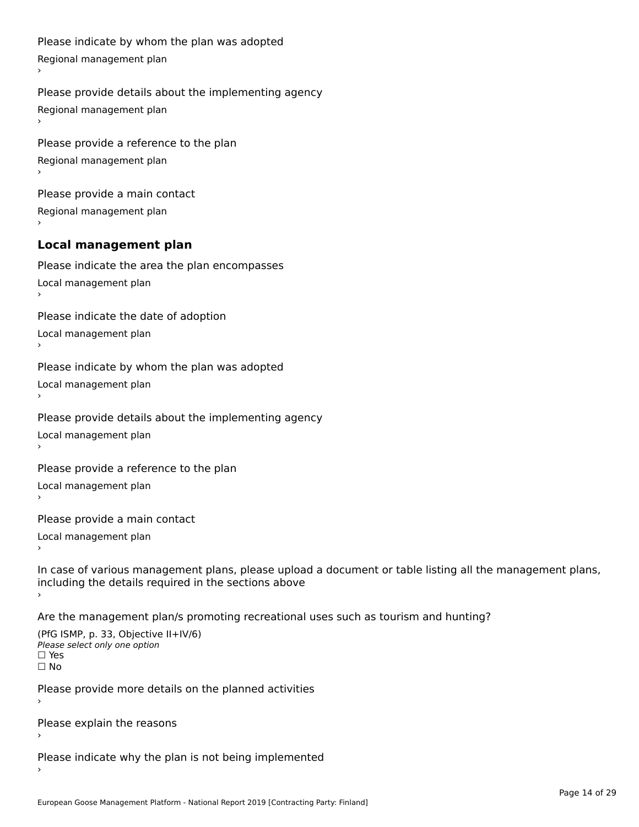```
Please indicate by whom the plan was adopted Regional management plan
Please provide details about the implementing agency Regional management plan
Please provide a reference to the plan Regional management plan
Please provide a main contact Regional management plan
Local management plan
Please indicate the area the plan encompasses Local management plan›Please indicate the date of adoption Local management plan١,
Please indicate by whom the plan was adopted Local management plan›Please provide details about the implementing agency Local management plan١,
Please provide a reference to the plan Local management plan›Please provide a main contact Local management plan١,
In case of various management plans, please upload a document or table listing all the management plans,in case or various management plans, please upload
including the details required in the sections above
```
Are the management plan/s promoting recreational uses such as tourism and hunting?

```
(PfG ISMP, p. 33, Objective II+IV/6)
Please select only one option☐ Yes☐ No
```
Please provide more details on the planned activities

Please explain the reasons›

Please indicate why the plan is not being implemented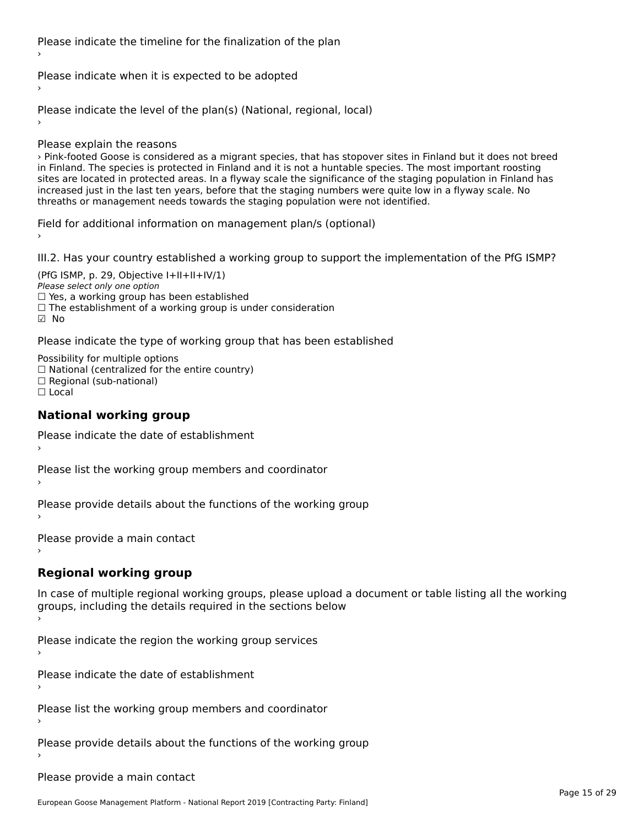Please indicate the timeline for the finalization of the plan

Please indicate when it is expected to be adopted

Please indicate the level of the plan(s) (National, regional, local)

Please explain the reasons

› Pink-footed Goose is considered as a migrant species, that has stopover sites in Finland but it does not breed in Finland. The species is protected in Finland and it is not a huntable species. The most important roosting nt rimand. The species is protected in rimand and it is not a nuntable species. The most important roosting<br>sites are located in protected areas. In a flyway scale the significance of the staging population in Finland has sites are located in protected areas. In a hyway scale the significance or the staging population in i iniant<br>increased just in the last ten years, before that the staging numbers were quite low in a flyway scale. No increased just in the last ten years, before that the staging humbers were quite low<br>threaths or management needs towards the staging population were not identified.

Field for additional information on management plan/s (optional)

III.2. Has your country established a working group to support the implementation of the PfG ISMP?

(PfG ISMP, p. 29, Objective  $I+II+II+IV/1$ ) Please select only one option riease select only one option<br>□ Yes, a working group has been established □ Tes, a working group has been established<br>□ The establishment of a working group is under consideration ☑ No

Please indicate the type of working group that has been established

Possibility for multiple options ™assibility for multiple options<br>□ National (centralized for the entire country) □ Regional (sub-national) ☐ Local

#### **National working group**

Please indicate the date of establishment›

Please list the working group members and coordinator ›

Please provide details about the functions of the working group ›

Please provide a main contact ›

# **Regional working group**

In case of multiple regional working groups, please upload a document or table listing all the working groups, including the actums required in the sections below

Please indicate the region the working group services ›

Please indicate the date of establishment ›

Please list the working group members and coordinator ›

Please provide details about the functions of the working group ›

Please provide a main contact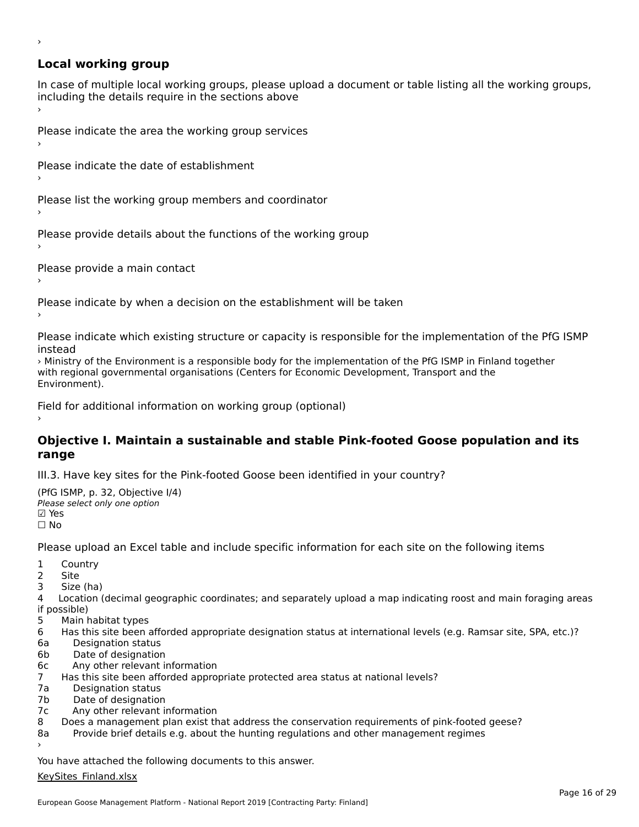# **Local working group**

›

In case of multiple local working groups, please upload a document or table listing all the working groups, in case of multiple local working groups, please up ›

Please indicate the area the working group services ›

Please indicate the date of establishment ›

Please list the working group members and coordinator ›

Please provide details about the functions of the working group ›

Please provide a main contact ›

Please indicate by when a decision on the establishment will be taken

Please indicate which existing structure or capacity is responsible for the implementation of the PfG ISMP

› Ministry of the Environment is a responsible body for the implementation of the PfG ISMP in Finland together with regional governmental organisations (Centers for Economic Development, Transport and the<br>Environment of the Environmental organisations (Centers for Economic Development, Transport and the

Field for additional information on working group (optional)

# **Objective I. Maintain a sustainable and stable Pink-footed Goose population and its range**

III.3. Have key sites for the Pink-footed Goose been identified in your country?

(PfG ISMP, p. 32, Objective I/4) Please select only one option☑ Yes☐ No

Please upload an Excel table and include specific information for each site on the following items

- $1 \quad \alpha$
- 2 Site
- 2 Site<br>3 Size (ha)

4 Location (decimal geographic coordinates; and separately upload a map indicating roost and main foraging areas 4 Location<br>if possible)

- 5 Main habitat types
- 6 Has this site been afforded appropriate designation status at international levels (e.g. Ramsar site, SPA, etc.)? 6a Marchael Barbara and Designation status
- 6a Designation status<br>6b Date of designation
- 
- 6c Any other relevant information
- 7 Has this site been afforded appropriate protected area status at national levels? 7a 11as uns site been and<br>7a - Designation status
- 7a Designation status<br>7b Date of designation
- 
- 7c Any other relevant information
- 8 Does a management plan exist that address the conservation requirements of pink-footed geese?
- 8a Provide brief details e.g. about the hunting regulations and other management regimes 8a

You have attached the following documents to this answer.

#### [KeySites\\_Finland.xlsx](http://aewa-ort.ort-production.linode.unep-wcmc.org/answers/2633125/documents/1490)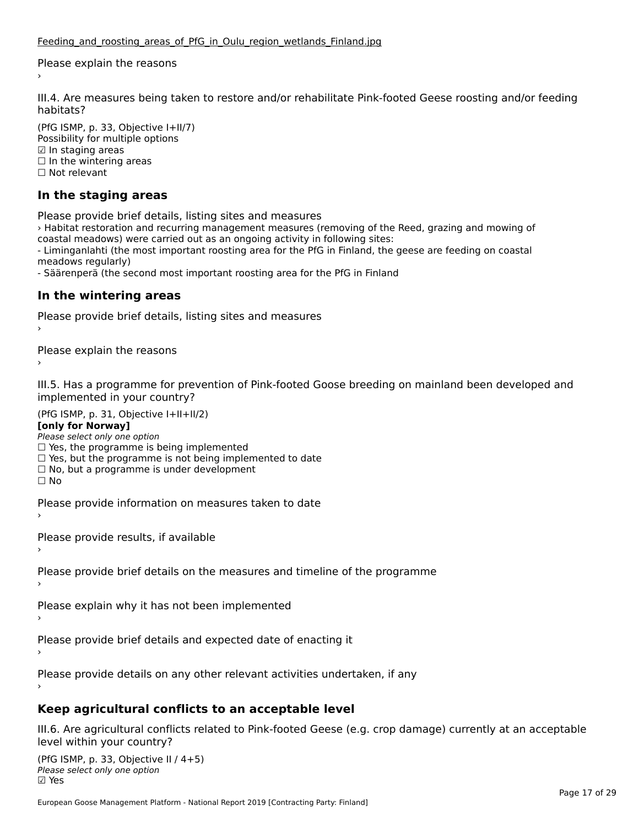Please explain the reasons

III.4. Are measures being taken to restore and/or rehabilitate Pink-footed Geese roosting and/or feeding

(PfG ISMP, p. 33, Objective I+II/7)  $(110, 1314)$ , p. 33, Objective  $141$ <br>Possibility for multiple options  $\boxdot$  In staging areas ⊠ in stagnig areas<br>□ In the wintering areas □ in the winter<br>□ Not relevant

### **In the staging areas**

Please provide brief details, listing sites and measures

› Habitat restoration and recurring management measures (removing of the Reed, grazing and mowing of coastal meadows) were carried out as an ongoing activity in following sites:

coastal meadows) were carried out as an ongoing activity in following sites.<br>- Liminganlahti (the most important roosting area for the PfG in Finland, the geese are feeding on coastal meadows regularly)

- Säärenperä (the second most important roosting area for the PfG in Finland

#### **In the wintering areas**

Please provide brief details, listing sites and measures ›

Please explain the reasons

III.5. Has a programme for prevention of Pink-footed Goose breeding on mainland been developed and implemented in your country?

 $(DEC~ICMD = 21, Okicative L+II+II/2)$ **[only for Norway]**

[only for Norway]

Please select only one option

Please select only one option<br>□ Yes, the programme is being implemented

 $\Box$  ies, the programme is being implemented to date  $\Box$  Yes, but the programme is not being implemented to date

 $\Box$  No, but a programme is under development

Please provide information on measures taken to date

Please provide results, if available

Please provide brief details on the measures and timeline of the programme

Please explain why it has not been implemented

Please provide brief details and expected date of enacting it

Please provide details on any other relevant activities undertaken, if any

### **Keep agricultural conflicts to an acceptable level**

III.6. Are agricultural conflicts related to Pink-footed Geese (e.g. crop damage) currently at an acceptable<br>lavel within your country?

(PfG ISMP, p. 33, Objective II / 4+5)יייכר וייכר (דור Please select only one option<br>קומו *Please select only one option*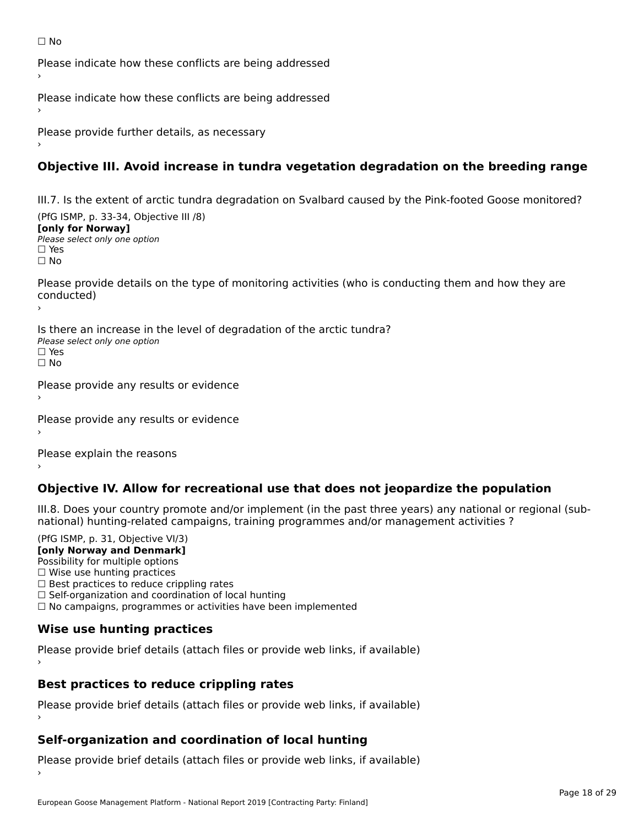Please indicate how these conflicts are being addressed

Please indicate how these conflicts are being addressed

Please provide further details, as necessary ›

## **Objective III. Avoid increase in tundra vegetation degradation on the breeding range**

III.7. Is the extent of arctic tundra degradation on Svalbard caused by the Pink-footed Goose monitored?

 $(DfG | GMP, p. 33-34, O$ **[only for Norway]**[only for Norway] Please select only one option☐ Yes☐ No

Please provide details on the type of monitoring activities (who is conducting them and how they are conducted)

Is there an increase in the level of degradation of the arctic tundra? □ CICIC ON INCICOSE IN C<br>Please select only one option □ Yes<br>□ No

Please provide any results or evidence

Please provide any results or evidence

Please explain the reasons

### **Objective IV. Allow for recreational use that does not jeopardize the population**

III.8. Does your country promote and/or implement (in the past three years) any national or regional (sub $m.6. \text{ Does you count by from one any or improper time.}$  (in the past times years) any national or national) hunting-related campaigns, training programmes and/or management activities ?

(PfG ISMP, p. 31, Objective VI/3) **[only Norway and Denmark]** Possibility for multiple options ∩ USSIDINCY TOF HUICIPIE OPCION.  $\Box$  Wise use hunting practices  $\Box$  wise use numing practices<br> $\Box$  Best practices to reduce crippling rates □ Best practices to reduce crippinig rates<br>□ Self-organization and coordination of local hunting □ Sen-organization and coordination or local nunting<br>□ No campaigns, programmes or activities have been implemented

## **Wise use hunting practices**

Please provide brief details (attach files or provide web links, if available) ›

# **Best practices to reduce crippling rates**

Please provide brief details (attach files or provide web links, if available)

### **Self-organization and coordination of local hunting**

Please provide brief details (attach files or provide web links, if available)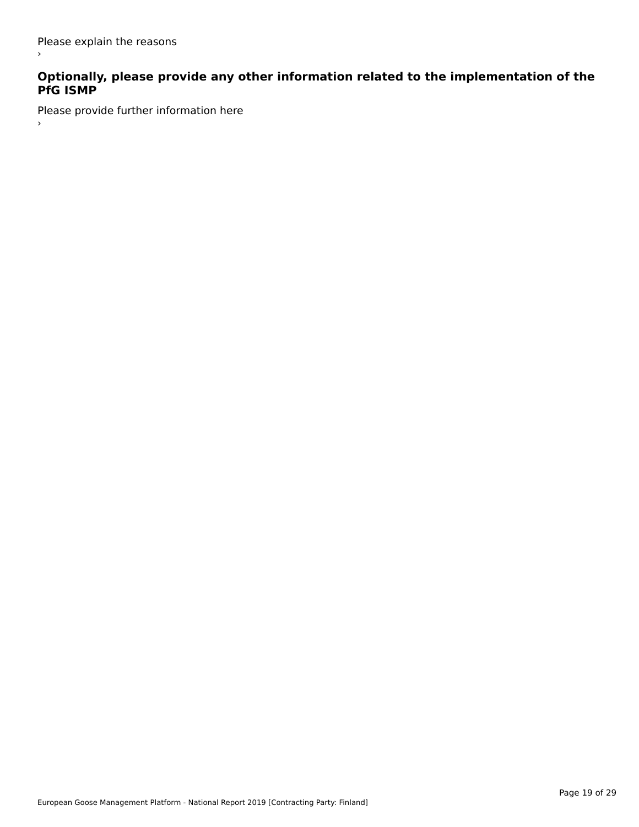$\,$ 

# **Optionally, please provide any other information related to the implementation of the PfG ISMP**

Please provide further information here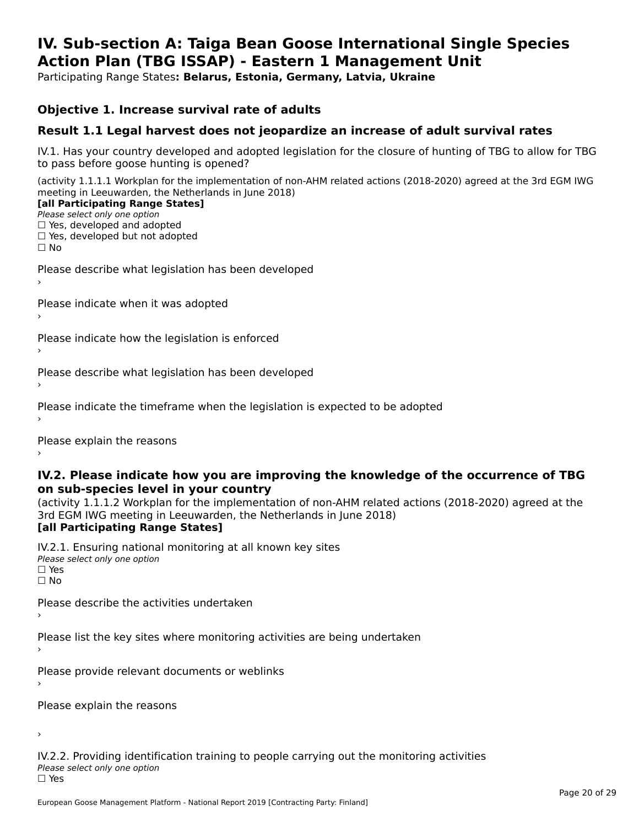#### **IV. Sub-section A: Taiga Bean Goose International Single Species Action Plan (TBG ISSAP) - Eastern 1 Management UnitAction Plan (TBG ISSAP) - Eastern 1 Management Unit**

Participating Range States**: Belarus, Estonia, Germany, Latvia, Ukraine** 

#### **Objective 1. Increase survival rate of adults**

#### **Result 1.1 Legal harvest does not jeopardize an increase of adult survival rates**

IV.1. Has your country developed and adopted legislation for the closure of hunting of TBG to allow for TBG IV.1. Thas your country developed and add<br>to pass before goose hunting is opened?

(activity 1.1.1.1 Workplan for the implementation of non-AHM related actions (2018-2020) agreed at the 3rd EGM IWG meeting in Leeuwarden, the Netherlands in June 2018) **[all Participating Range States]**

#### [all Participating Range States]

Please select only one option ☐ Yes, developed and adopted

☐ Yes, developed but not adopted

 $\Box$  ies, developed but not adopted

Please describe what legislation has been developed

Please indicate when it was adopted

Please indicate how the legislation is enforced

Please describe what legislation has been developed

Please indicate the timeframe when the legislation is expected to be adopted

Please explain the reasons

#### **IV.2. Please indicate how you are improving the knowledge of the occurrence of TBG on sub-species level in your country**on sub-species level in your country

on sub-species fever in your country<br>(activity 1.1.1.2 Workplan for the implementation of non-AHM related actions (2018-2020) agreed at the **Brd EGM IWG meeting in Leeuwarden, the Netherlands in June 2018)** 

#### [all Participating Range States]

IV.2.1. Ensuring national monitoring at all known key sites <del>■ Western Chroning</del> Hational<br>Please select only one option  $\Box$  Yes ☐ No

Please describe the activities undertaken

Please list the key sites where monitoring activities are being undertaken

Please provide relevant documents or weblinks

Please explain the reasons

›

IV.2.2. Providing identification training to people carrying out the monitoring activities <del>■ Western Fortung</del> Recrement<br>Please select only one option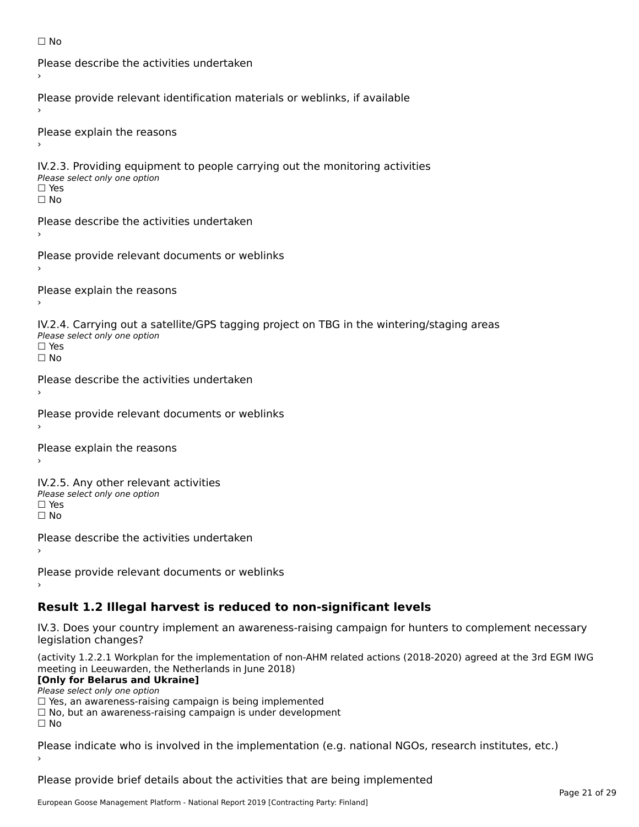```
☐ No
```

```
Please describe the activities undertaken›Please provide relevant identification materials or weblinks, if available
Please explain the reasons
IV.2.3. Providing equipment to people carrying out the monitoring activities
Please select only one option
☐ Yes□ Yes<br>□ No
Please describe the activities undertaken›Please provide relevant documents or weblinks
Please explain the reasons
IV.2.4. Carrying out a satellite/GPS tagging project on TBG in the wintering/staging areas
TV:∠:→: Carrying out a Se<br>Please select only one option
□ Yes<br>□ No
Please describe the activities undertaken›Please provide relevant documents or weblinks
Please explain the reasons
IV.2.5. Any other relevant activities
Please select only one option
☐ Yes□ Yes<br>□ No
Please describe the activities undertaken›Please provide relevant documents or weblinks
Result 1.2 Illegal harvest is reduced to non-significant levels
```
IV.3. Does your country implement an awareness-raising campaign for hunters to complement necessary rv.5. Does your court<br>legislation changes?

(activity 1.2.2.1 Workplan for the implementation of non-AHM related actions (2018-2020) agreed at the 3rd EGM IWG meeting in Leeuwarden, the Netherlands in June 2018)

#### **[Only for Belarus and Ukraine]**

Please select only one option

riease select only one option<br>□ Yes, an awareness-raising campaign is being implemented<br>□ Yes, an awareness-raising campaign is under development

□ No, but an awareness-raising campaign is under development<br>□ N。

Please indicate who is involved in the implementation (e.g. national NGOs, research institutes, etc.)

Please provide brief details about the activities that are being implemented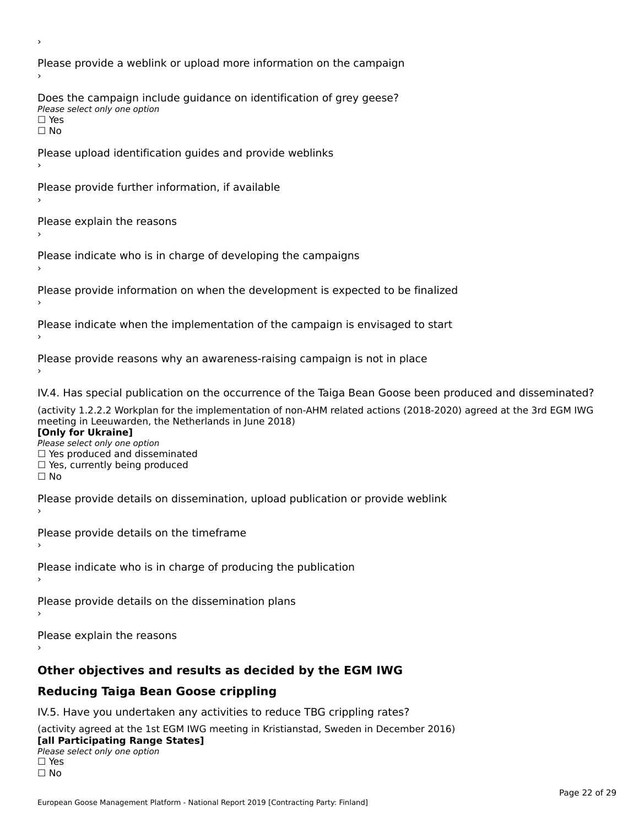Please provide a weblink or upload more information on the campaign Does the campaign include guidance on identification of grey geese? **DOCS** the campaign mer<br>Please select only one option □ Yes<br>□ No Please upload identification guides and provide weblinks Please provide further information, if available Please explain the reasons Please indicate who is in charge of developing the campaigns Please provide information on when the development is expected to be finalized Please indicate when the implementation of the campaign is envisaged to start Please provide reasons why an awareness-raising campaign is not in place IV.4. Has special publication on the occurrence of the Taiga Bean Goose been produced and disseminated? (activity 1.2.2.2 Workplan for the implementation of non-AHM related actions (2018-2020) agreed at the 3rd EGM IWG **[Only for Ukraine] □ Yes produced and disseminated**<br>Please select only one option  $\Box$  ies produced and disseminated  $\Box$  ies, currently being produced Please provide details on dissemination, upload publication or provide weblink Please provide details on the timeframe Please indicate who is in charge of producing the publication Please provide details on the dissemination plans Please explain the reasons **Other objectives and results as decided by the EGM IWG Reducing Taiga Bean Goose crippling** IV.5. Have you undertaken any activities to reduce TBG crippling rates? (activity agreed at the 1st EGM IWG meeting in Kristianstad, Sweden in December 2016)

#### **[all Participating Range States]**[all Participating Range States]

**Law Tarticipating Range**<br>Please select only one option

□ Yes<br>□ No

›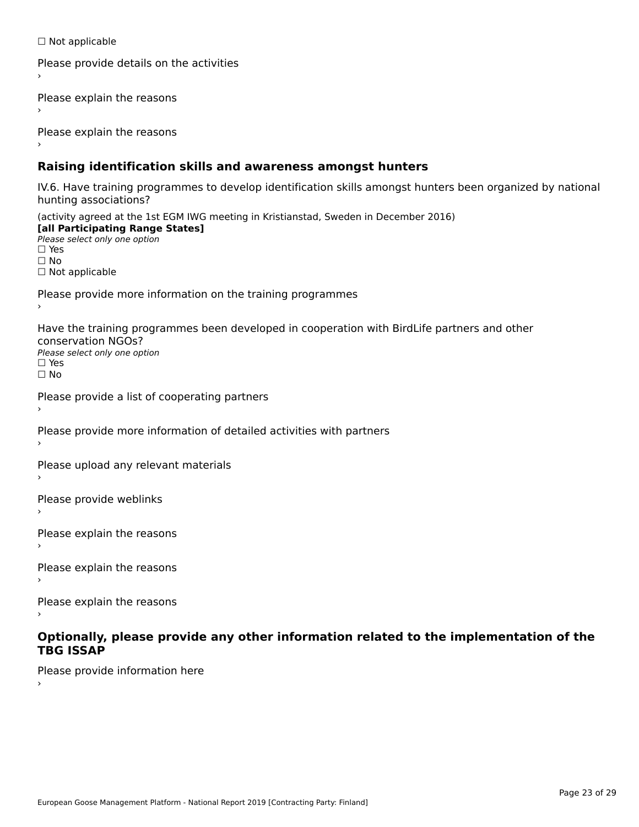☐ Not applicable

```
Please provide details on the activities
```
Please explain the reasons

Please explain the reasons

#### **Raising identification skills and awareness amongst hunters**

IV.6. Have training programmes to develop identification skills amongst hunters been organized by national rv.o. riave training pro<br>hunting associations?

(activity agreed at the 1st EGM IWG meeting in Kristianstad, Sweden in December 2016) **[all Participating Range States]**[all Participating Range States] **Lan Tarticipating Range**<br>Please select only one option ☐ Yes☐ No□ Not applicable

Please provide more information on the training programmes

Have the training programmes been developed in cooperation with BirdLife partners and other conservation NGOs?Please select only one option☐ Yes☐ No

```
Please provide a list of cooperating partners
```
Please provide more information of detailed activities with partners

Please upload any relevant materials

Please provide weblinks

Please explain the reasons

Please explain the reasons›

Please explain the reasons

#### **Optionally, please provide any other information related to the implementation of the TBG ISSAPTBG ISSAP**

Please provide information here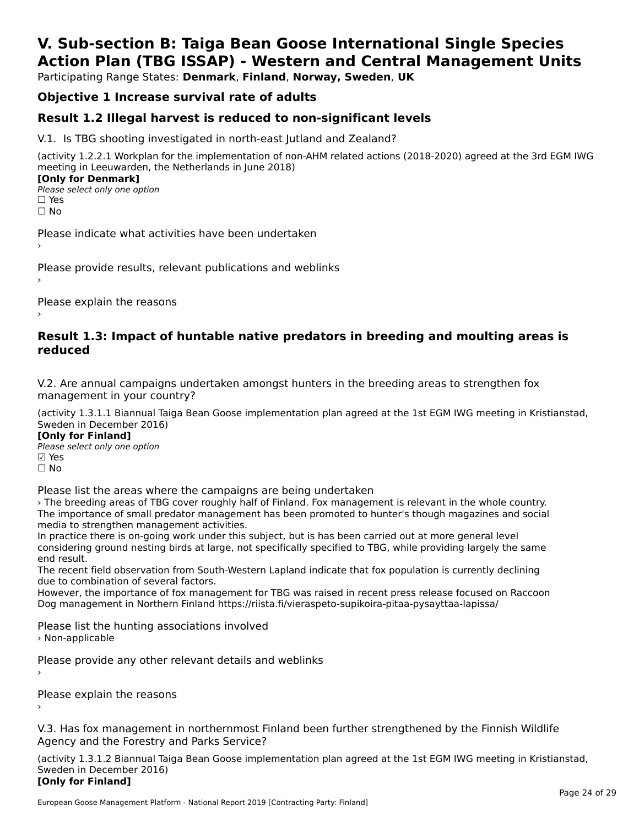# **V. Sub-section B: Taiga Bean Goose International Single SpeciesAction Plan (TBG ISSAP) - Western and Central Management Units**

Participating Range States: **Denmark**, **Finland**, **Norway, Sweden**, **UK**

## **Objective 1 Increase survival rate of adults**

### **Result 1.2 Illegal harvest is reduced to non-significant levels**

V.1. Is TBG shooting investigated in north-east Jutland and Zealand?

(activity 1.2.2.1 Workplan for the implementation of non-AHM related actions (2018-2020) agreed at the 3rd EGM IWG meeting in Leeuwarden, the Netherlands in June 2018) **[Only for Denmark]** 

**LOTTLY TOT DETITIONS**<br>Please select only one option *riease*<br>□ Yes<br>□ No

Please indicate what activities have been undertaken

Please provide results, relevant publications and weblinks ›

Please explain the reasons

#### **Result 1.3: Impact of huntable native predators in breeding and moulting areas is reduced**

V.2. Are annual campaigns undertaken amongst hunters in the breeding areas to strengthen fox v.z. Are annual campaigns und<br>management in your country?

(activity 1.3.1.1 Biannual Taiga Bean Goose implementation plan agreed at the 1st EGM IWG meeting in Kristianstad, Sweden in December 2016)

**[Only for Finland]** Please select only one optionriease<br>□ Yes ⊠ Yes<br>□ No

Please list the areas where the campaigns are being undertaken

› The breeding areas of TBG cover roughly half of Finland. Fox management is relevant in the whole country.The breeding areas of the cover foughly han of filliand. Fox management is relevant in the whole country.<br>The importance of small predator management has been promoted to hunter's though magazines and social me importance or sman predator management<br>media to strengthen management activities.

Ineula to strengthen management activities.<br>In practice there is on-going work under this subject, but is has been carried out at more general level In practice there is on-going work under this subject, but is has been carried out at more general lever<br>considering ground nesting birds at large, not specifically specified to TBG, while providing largely the same

The recent field observation from South-Western Lapland indicate that fox population is currently declining The recent held observation from Sout<br>due to combination of several factors.

ade to combination or several ractors.<br>However, the importance of fox management for TBG was raised in recent press release focused on Raccoon Dog management in Northern Finland https://riista.fi/vieraspeto-supikoira-pitaa-pysayttaa-lapissa/

Please list the hunting associations involved › Non-applicable

Please provide any other relevant details and weblinks ›

Please explain the reasons

V.3. Has fox management in northernmost Finland been further strengthened by the Finnish Wildlife v.5. Has fox management in northernmost F<br>Agency and the Forestry and Parks Service?

(activity 1.3.1.2 Biannual Taiga Bean Goose implementation plan agreed at the 1st EGM IWG meeting in Kristianstad, Sweden in December 2016) Sweden in December 2016) [Only for Finland]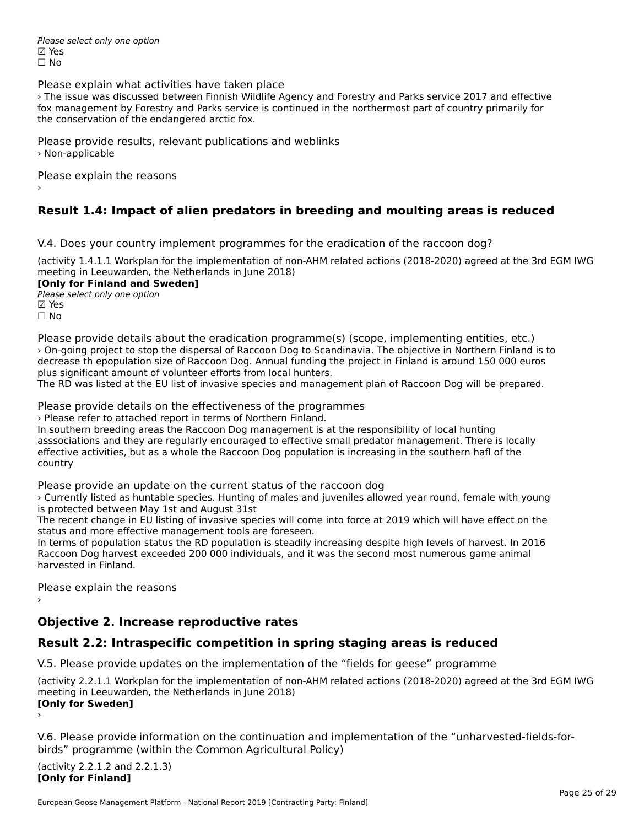Please select only one option ☑ Yes☐ No

Please explain what activities have taken place

› The issue was discussed between Finnish Wildlife Agency and Forestry and Parks service 2017 and effectivefox management by Forestry and Parks service is continued in the northermost part of country primarily for TOX management by Forestry and Farks service<br>the conservation of the endangered arctic fox.

Please provide results, relevant publications and weblinks › Non-applicable

Please explain the reasons

### **Result 1.4: Impact of alien predators in breeding and moulting areas is reduced**

V.4. Does your country implement programmes for the eradication of the raccoon dog?

(activity 1.4.1.1 Workplan for the implementation of non-AHM related actions (2018-2020) agreed at the 3rd EGM IWG meeting in Leeuwarden, the Netherlands in June 2018)

**[Only for Finland and Sweden]Please select only one option** 

☑ Yes☐ No

Please provide details about the eradication programme(s) (scope, implementing entities, etc.) › On-going project to stop the dispersal of Raccoon Dog to Scandinavia. The objective in Northern Finland is to decrease th epopulation size of Raccoon Dog. Annual funding the project in Finland is around 150 000 euros plus significant amount of volunteer efforts from local hunters.

plus significant amount of volunteer enorts from local hunters.<br>The RD was listed at the EU list of invasive species and management plan of Raccoon Dog will be prepared.

Please provide details on the effectiveness of the programmes

riease provide details on the enectiveness of the progress of the progress.

In southern breeding areas the Raccoon Dog management is at the responsibility of local hunting ar southern breeding areas the Naccoon Dog management is at the responsibility or local hunting<br>asssociations and they are regularly encouraged to effective small predator management. There is locally assistendions and they are regularly encouraged to enective sinal predator management. There is located activities, but as a whole the Raccoon Dog population is increasing in the southern hafl of the country

Please provide an update on the current status of the raccoon dog

› Currently listed as huntable species. Hunting of males and juveniles allowed year round, female with young is protected between May 1st and August 31st

The recent change in EU listing of invasive species will come into force at 2019 which will have effect on the The recent change in ED iisting or invasive species will con-<br>status and more effective management tools are foreseen.

status and more enective management tools are foreseen.<br>In terms of population status the RD population is steadily increasing despite high levels of harvest. In 2016 In terms or population status the ND population is steadily increasing despite high levels or harvest. In 2t<br>Raccoon Dog harvest exceeded 200 000 individuals, and it was the second most numerous game animal harvested in Finland.

Please explain the reasons

## **Objective 2. Increase reproductive rates**

### **Result 2.2: Intraspecific competition in spring staging areas is reduced**

V.5. Please provide updates on the implementation of the "fields for geese" programme

(activity 2.2.1.1 Workplan for the implementation of non-AHM related actions (2018-2020) agreed at the 3rd EGM IWG meeting in Leeuwarden, the Netherlands in June 2018) **[Only for Sweden]** ›

V.6. Please provide information on the continuation and implementation of the "unharvested-fields-forbirds" programme (within the Common Agricultural Policy)birds" programme (within the Common Agricultural Policy)

(activity 2.2.1.2 and 2.2.1.3) **[Only for Finland]**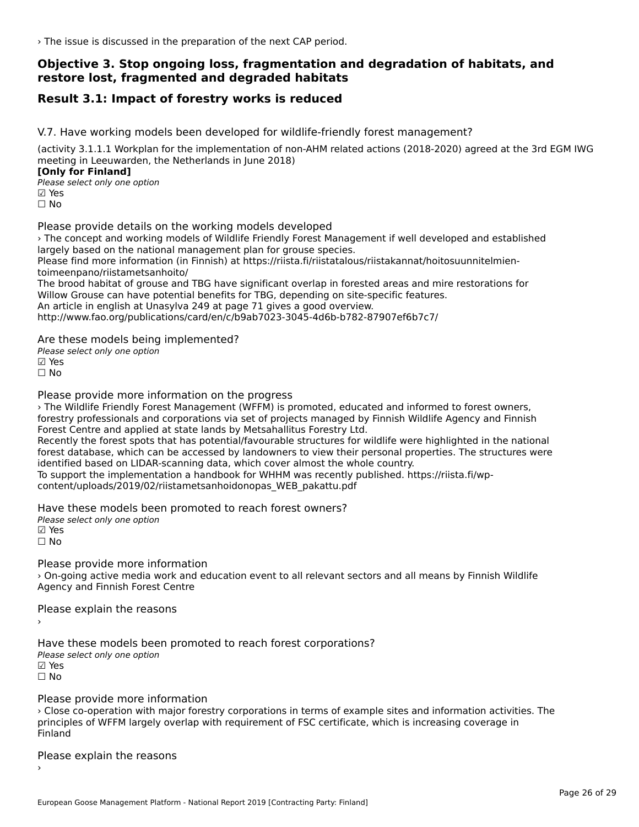› The issue is discussed in the preparation of the next CAP period.

# **Objective 3. Stop ongoing loss, fragmentation and degradation of habitats, and restore lost, fragmented and degraded habitats**

### **Result 3.1: Impact of forestry works is reduced**

V.7. Have working models been developed for wildlife-friendly forest management?

(activity 3.1.1.1 Workplan for the implementation of non-AHM related actions (2018-2020) agreed at the 3rd EGM IWG meeting in Leeuwarden, the Netherlands in June 2018) **[Only for Finland]**

**□ 1990 Different Company**<br>Please select only one option **☑ Yes**<br>□ No

Please provide details on the working models developed

› The concept and working models of Wildlife Friendly Forest Management if well developed and established The concept and working models of whalle intendity rorest manager.<br>largely based on the national management plan for grouse species.

Please find more information (in Finnish) at https://riista.fi/riistatalous/riistakannat/hoitosuunnitelmientoimeenpano/riistametsanhoito/

The brood habitat of grouse and TBG have significant overlap in forested areas and mire restorations for Willow Grouse can have potential benefits for TBG, depending on site-specific features.An article in english at Unasylva 249 at page 71 gives a good overview. http://www.fao.org/publications/card/en/c/b9ab7023-3045-4d6b-b782-87907ef6b7c7/

Are these models being implemented?

ric criese models being<br>Please select only one option ☑ Yes

☐ No

Please provide more information on the progress

› The Wildlife Friendly Forest Management (WFFM) is promoted, educated and informed to forest owners, forestry professionals and corporations via set of projects managed by Finnish Wildlife Agency and Finnish Forest Centre and applied at state lands by Metsahallitus Forestry Ltd. rorest centre and applied at state lands by Metsanaliitus Forestry Etd.<br>Recently the forest spots that has potential/favourable structures for wildlife were highlighted in the national

Recentry the forest spots that has potential/lavourable structures for whallie were highlighted in the hational<br>forest database, which can be accessed by landowners to view their personal properties. The structures were identified based on LIDAR-scanning data, which cover almost the whole country. To support the implementation a handbook for WHHM was recently published. https://riista.fi/wp-

content/uploads/2019/02/riistametsanhoidonopas\_WEB\_pakattu.pdf

content/uploads/2019/02/riistametsanhoidonopas\_WEB\_pakattu.pdf

Have these models been promoted to reach forest owners?

∩ave these models bee<br>Please select only one option ☐ No

Please provide more information

A case provide more information<br>
Agriculture media work and education event to all relevant sectors and all means by Finnish Wildlife Agency and Finnish Forest Centre

Please explain the reasons ›

Have these models been promoted to reach forest corporations? Please select only one option ☑ Yes☐ No

Please provide more information

› Close co-operation with major forestry corporations in terms of example sites and information activities. The principles of WFFM largely overlap with requirement of FSC certificate, which is increasing coverage in Finland

Please explain the reasons ›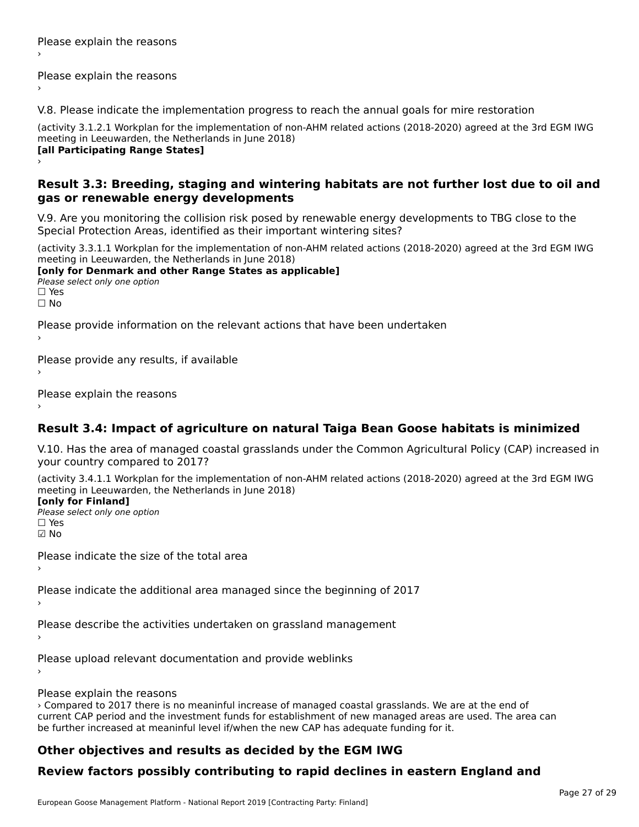# Please explain the reasons

V.8. Please indicate the implementation progress to reach the annual goals for mire restoration

(activity 3.1.2.1 Workplan for the implementation of non-AHM related actions (2018-2020) agreed at the 3rd EGM IWG meeting in Leeuwarden, the Netherlands in June 2018) **[all Participating Range States]** ›

#### **Result 3.3: Breeding, staging and wintering habitats are not further lost due to oil and gas or renewable energy developments**gas or renewable energy developments

V.9. Are you monitoring the collision risk posed by renewable energy developments to TBG close to the Special Protection Areas, identified as their important wintering sites?

(activity 3.3.1.1 Workplan for the implementation of non-AHM related actions (2018-2020) agreed at the 3rd EGM IWG meeting in Leeuwarden, the Netherlands in June 2018)

**[only for Denmark and other Range States as applicable] Long Tor Demiark and<br>Please select only one option** ☐ Yes☐ No

Please provide information on the relevant actions that have been undertaken

Please provide any results, if available

Please explain the reasons

### **Result 3.4: Impact of agriculture on natural Taiga Bean Goose habitats is minimized**

V.10. Has the area of managed coastal grasslands under the Common Agricultural Policy (CAP) increased in your country compared to 2017?

(activity 3.4.1.1 Workplan for the implementation of non-AHM related actions (2018-2020) agreed at the 3rd EGM IWG

#### **[only for Finland]**

**Please select only one option** ☑ No

Please indicate the size of the total area›

Please indicate the additional area managed since the beginning of 2017

Please describe the activities undertaken on grassland management

Please upload relevant documentation and provide weblinks

›

Please explain the reasons

› Compared to 2017 there is no meaninful increase of managed coastal grasslands. We are at the end of current CAP period and the investment funds for establishment of new managed areas are used. The area can be further increased at meaninful level if/when the new CAP has adequate funding for it.

### **Other objectives and results as decided by the EGM IWG**

# **Review factors possibly contributing to rapid declines in eastern England and**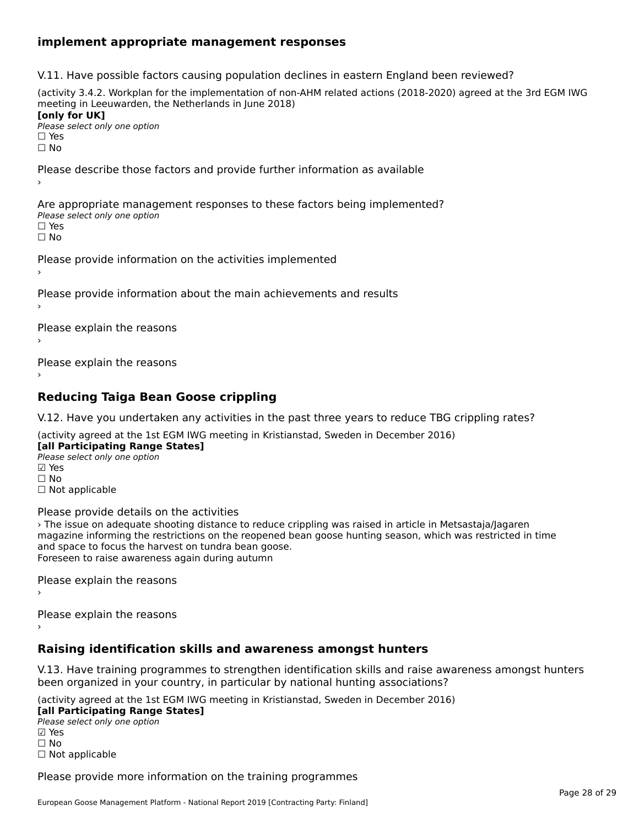### **implement appropriate management responses**

V.11. Have possible factors causing population declines in eastern England been reviewed?

(activity 3.4.2. Workplan for the implementation of non-AHM related actions (2018-2020) agreed at the 3rd EGM IWGmeeting in Leeuwarden, the Netherlands in June 2018) **[only for UK]**[only for UK] **∐omy for OR**<br>Please select only one option

□ Yes<br>□ No

Please describe those factors and provide further information as available

Are appropriate management responses to these factors being implemented? Please select only one option☐ Yes☐ No

Please provide information on the activities implemented

Please provide information about the main achievements and results

Please explain the reasons

Please explain the reasons

## **Reducing Taiga Bean Goose crippling**

V.12. Have you undertaken any activities in the past three years to reduce TBG crippling rates?

(activity agreed at the 1st EGM IWG meeting in Kristianstad, Sweden in December 2016) **[all Participating Range States]**

**Lan Tarticipating Range**<br>Please select only one option ☑ Yes☐ No

□ Not applicable

Please provide details on the activities

› The issue on adequate shooting distance to reduce crippling was raised in article in Metsastaja/Jagaren magazine informing the restrictions on the reopened bean goose hunting season, which was restricted in time magazine imominity the restrictions on the reoperied b<br>and space to focus the harvest on tundra bean goose. and space to rocus the narvest on tunura bean go<br>Foreseen to raise awareness again during autumn

Please explain the reasons›

Please explain the reasons

›

# **Raising identification skills and awareness amongst hunters**

V.13. Have training programmes to strengthen identification skills and raise awareness amongst hunters v.15. Have training programmes to strengthen identification skills and raise aw<br>been organized in your country, in particular by national hunting associations?

(activity agreed at the 1st EGM IWG meeting in Kristianstad, Sweden in December 2016)

**[all Participating Range States]**Please select only one option

☑ Yes☐ No □ Not applicable

Please provide more information on the training programmes